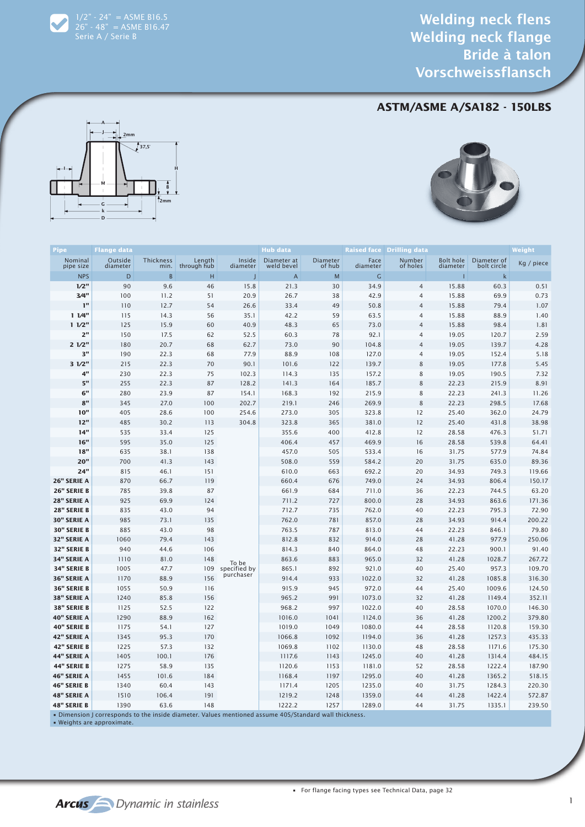#### **ASTM/ASME A/SA182 - 150LBS**





 $1/2" - 24" = A SME B16.5$ 26" - 48" = ASME B16.47 Serie A / Serie B

| Nominal<br>Outside<br>Thickness<br>Length<br>Inside<br>Diameter at<br>Diameter<br>of hub<br>Face<br>Number<br><b>Bolt hole</b><br>Diameter of<br>pipe size<br>through hub<br>weld bevel<br>of holes<br>bolt circle<br>diameter<br>min.<br>diameter<br>diameter<br>diameter<br>$\mathsf B$<br>$\mathsf C$<br><b>NPS</b><br>D<br>н<br>$\overline{A}$<br>M<br>$\mathsf k$<br>J<br>I<br>1/2"<br>90<br>30<br>15.88<br>60.3<br>9.6<br>46<br>15.8<br>21.3<br>34.9<br>$\overline{4}$<br>3/4"<br>100<br>11.2<br>51<br>20.9<br>26.7<br>38<br>42.9<br>$\overline{4}$<br>15.88<br>69.9<br>1"<br>49<br>110<br>12.7<br>54<br>$\overline{4}$<br>15.88<br>79.4<br>26.6<br>33.4<br>50.8<br>11/4"<br>14.3<br>42.2<br>$\overline{4}$<br>15.88<br>88.9<br>115<br>56<br>35.1<br>59<br>63.5<br>11/2"<br>15.9<br>$\overline{4}$<br>15.88<br>1.81<br>125<br>60<br>40.9<br>48.3<br>65<br>73.0<br>98.4<br>2"<br>92.1<br>$\overline{4}$<br>19.05<br>120.7<br>2.59<br>150<br>17.5<br>62<br>52.5<br>60.3<br>78<br>21/2"<br>180<br>20.7<br>68<br>62.7<br>73.0<br>90<br>$\overline{4}$<br>19.05<br>139.7<br>4.28<br>104.8<br>3"<br>190<br>22.3<br>88.9<br>$\overline{4}$<br>19.05<br>5.18<br>68<br>77.9<br>108<br>127.0<br>152.4<br>31/2"<br>8<br>215<br>22.3<br>70<br>90.1<br>101.6<br>122<br>19.05<br>177.8<br>139.7<br>4"<br>8<br>230<br>22.3<br>75<br>102.3<br>114.3<br>135<br>157.2<br>19.05<br>190.5<br>5"<br>8<br>255<br>22.3<br>87<br>128.2<br>141.3<br>164<br>22.23<br>215.9<br>185.7<br>6"<br>8<br>280<br>23.9<br>87<br>192<br>154.1<br>168.3<br>215.9<br>22.23<br>241.3<br>8"<br>8<br>22.23<br>298.5<br>345<br>27.0<br>100<br>202.7<br>219.1<br>246<br>269.9<br>10"<br>405<br>28.6<br>100<br>254.6<br>273.0<br>305<br>12<br>362.0<br>323.8<br>25.40<br>12"<br>12<br>38.98<br>485<br>30.2<br>304.8<br>323.8<br>25.40<br>431.8<br>113<br>365<br>381.0<br>14"<br>51.71<br>535<br>33.4<br>125<br>355.6<br>400<br>412.8<br>12<br>28.58<br>476.3<br>16"<br>539.8<br>64.41<br>595<br>35.0<br>125<br>406.4<br>457<br>469.9<br>16<br>28.58<br>18"<br>74.84<br>635<br>38.1<br>138<br>457.0<br>505<br>16<br>31.75<br>577.9<br>533.4<br><b>20"</b><br>31.75<br>635.0<br>89.36<br>700<br>41.3<br>143<br>508.0<br>559<br>584.2<br>20<br>24"<br>815<br>46.1<br>151<br>663<br>692.2<br>20<br>34.93<br>749.3<br>610.0<br>26" SERIE A<br>870<br>66.7<br>119<br>660.4<br>676<br>749.0<br>24<br>34.93<br>806.4<br>26" SERIE B<br>22.23<br>744.5<br>785<br>39.8<br>87<br>661.9<br>684<br>711.0<br>36<br>28" SERIE A<br>925<br>69.9<br>34.93<br>863.6<br>124<br>711.2<br>727<br>800.0<br>28<br>28" SERIE B<br>835<br>43.0<br>712.7<br>735<br>762.0<br>40<br>22.23<br>795.3<br>94<br>30" SERIE A<br>985<br>73.1<br>781<br>28<br>34.93<br>914.4<br>135<br>762.0<br>857.0<br><b>30" SERIE B</b><br>22.23<br>846.1<br>79.80<br>885<br>43.0<br>98<br>763.5<br>787<br>813.0<br>44<br>250.06<br>32" SERIE A<br>1060<br>79.4<br>143<br>812.8<br>832<br>914.0<br>28<br>41.28<br>977.9<br>32" SERIE B<br>91.40<br>940<br>44.6<br>106<br>814.3<br>840<br>864.0<br>48<br>22.23<br>900.1<br>34" SERIE A<br>1110<br>148<br>883<br>32<br>41.28<br>1028.7<br>267.72<br>81.0<br>863.6<br>965.0<br>To be<br><b>34" SERIE B</b><br>1005<br>47.7<br>109<br>865.1<br>892<br>921.0<br>40<br>25.40<br>957.3<br>specified by<br>purchaser<br>36" SERIE A<br>1170<br>156<br>933<br>32<br>41.28<br>1085.8<br>88.9<br>914.4<br>1022.0<br>36" SERIE B<br>1055<br>50.9<br>915.9<br>945<br>972.0<br>44<br>25.40<br>1009.6<br>116<br>1240<br>991<br>32<br>41.28<br>1149.4<br>38" SERIE A<br>85.8<br>156<br>965.2<br>1073.0<br>38" SERIE B<br>1125<br>52.5<br>122<br>968.2<br>997<br>1022.0<br>40<br>28.58<br>1070.0<br>40" SERIE A<br>1290<br>88.9<br>162<br>1016.0<br>1041<br>1124.0<br>36<br>41.28<br>1200.2<br>379.80 | Pipe               | <b>Flange data</b> |      |     | <b>Hub data</b> |      |        | <b>Raised face Drilling data</b> |       |        | Weight           |
|-------------------------------------------------------------------------------------------------------------------------------------------------------------------------------------------------------------------------------------------------------------------------------------------------------------------------------------------------------------------------------------------------------------------------------------------------------------------------------------------------------------------------------------------------------------------------------------------------------------------------------------------------------------------------------------------------------------------------------------------------------------------------------------------------------------------------------------------------------------------------------------------------------------------------------------------------------------------------------------------------------------------------------------------------------------------------------------------------------------------------------------------------------------------------------------------------------------------------------------------------------------------------------------------------------------------------------------------------------------------------------------------------------------------------------------------------------------------------------------------------------------------------------------------------------------------------------------------------------------------------------------------------------------------------------------------------------------------------------------------------------------------------------------------------------------------------------------------------------------------------------------------------------------------------------------------------------------------------------------------------------------------------------------------------------------------------------------------------------------------------------------------------------------------------------------------------------------------------------------------------------------------------------------------------------------------------------------------------------------------------------------------------------------------------------------------------------------------------------------------------------------------------------------------------------------------------------------------------------------------------------------------------------------------------------------------------------------------------------------------------------------------------------------------------------------------------------------------------------------------------------------------------------------------------------------------------------------------------------------------------------------------------------------------------------------------------------------------------------------------------------------------------------------------------------------------------------------------------------------------------------------------------------------------------------------------------------------------------------------------------------------------------------------------------------------------------------------------------------------------------------------------------------------------------------------------------------------------------------------------------------------------------------------------------------------------------------------------------------------------------|--------------------|--------------------|------|-----|-----------------|------|--------|----------------------------------|-------|--------|------------------|
|                                                                                                                                                                                                                                                                                                                                                                                                                                                                                                                                                                                                                                                                                                                                                                                                                                                                                                                                                                                                                                                                                                                                                                                                                                                                                                                                                                                                                                                                                                                                                                                                                                                                                                                                                                                                                                                                                                                                                                                                                                                                                                                                                                                                                                                                                                                                                                                                                                                                                                                                                                                                                                                                                                                                                                                                                                                                                                                                                                                                                                                                                                                                                                                                                                                                                                                                                                                                                                                                                                                                                                                                                                                                                                                                                 |                    |                    |      |     |                 |      |        |                                  |       |        | Kg / piece       |
|                                                                                                                                                                                                                                                                                                                                                                                                                                                                                                                                                                                                                                                                                                                                                                                                                                                                                                                                                                                                                                                                                                                                                                                                                                                                                                                                                                                                                                                                                                                                                                                                                                                                                                                                                                                                                                                                                                                                                                                                                                                                                                                                                                                                                                                                                                                                                                                                                                                                                                                                                                                                                                                                                                                                                                                                                                                                                                                                                                                                                                                                                                                                                                                                                                                                                                                                                                                                                                                                                                                                                                                                                                                                                                                                                 |                    |                    |      |     |                 |      |        |                                  |       |        |                  |
|                                                                                                                                                                                                                                                                                                                                                                                                                                                                                                                                                                                                                                                                                                                                                                                                                                                                                                                                                                                                                                                                                                                                                                                                                                                                                                                                                                                                                                                                                                                                                                                                                                                                                                                                                                                                                                                                                                                                                                                                                                                                                                                                                                                                                                                                                                                                                                                                                                                                                                                                                                                                                                                                                                                                                                                                                                                                                                                                                                                                                                                                                                                                                                                                                                                                                                                                                                                                                                                                                                                                                                                                                                                                                                                                                 |                    |                    |      |     |                 |      |        |                                  |       |        | 0.51             |
|                                                                                                                                                                                                                                                                                                                                                                                                                                                                                                                                                                                                                                                                                                                                                                                                                                                                                                                                                                                                                                                                                                                                                                                                                                                                                                                                                                                                                                                                                                                                                                                                                                                                                                                                                                                                                                                                                                                                                                                                                                                                                                                                                                                                                                                                                                                                                                                                                                                                                                                                                                                                                                                                                                                                                                                                                                                                                                                                                                                                                                                                                                                                                                                                                                                                                                                                                                                                                                                                                                                                                                                                                                                                                                                                                 |                    |                    |      |     |                 |      |        |                                  |       |        | 0.73             |
|                                                                                                                                                                                                                                                                                                                                                                                                                                                                                                                                                                                                                                                                                                                                                                                                                                                                                                                                                                                                                                                                                                                                                                                                                                                                                                                                                                                                                                                                                                                                                                                                                                                                                                                                                                                                                                                                                                                                                                                                                                                                                                                                                                                                                                                                                                                                                                                                                                                                                                                                                                                                                                                                                                                                                                                                                                                                                                                                                                                                                                                                                                                                                                                                                                                                                                                                                                                                                                                                                                                                                                                                                                                                                                                                                 |                    |                    |      |     |                 |      |        |                                  |       |        | 1.07             |
|                                                                                                                                                                                                                                                                                                                                                                                                                                                                                                                                                                                                                                                                                                                                                                                                                                                                                                                                                                                                                                                                                                                                                                                                                                                                                                                                                                                                                                                                                                                                                                                                                                                                                                                                                                                                                                                                                                                                                                                                                                                                                                                                                                                                                                                                                                                                                                                                                                                                                                                                                                                                                                                                                                                                                                                                                                                                                                                                                                                                                                                                                                                                                                                                                                                                                                                                                                                                                                                                                                                                                                                                                                                                                                                                                 |                    |                    |      |     |                 |      |        |                                  |       |        | 1.40             |
|                                                                                                                                                                                                                                                                                                                                                                                                                                                                                                                                                                                                                                                                                                                                                                                                                                                                                                                                                                                                                                                                                                                                                                                                                                                                                                                                                                                                                                                                                                                                                                                                                                                                                                                                                                                                                                                                                                                                                                                                                                                                                                                                                                                                                                                                                                                                                                                                                                                                                                                                                                                                                                                                                                                                                                                                                                                                                                                                                                                                                                                                                                                                                                                                                                                                                                                                                                                                                                                                                                                                                                                                                                                                                                                                                 |                    |                    |      |     |                 |      |        |                                  |       |        |                  |
|                                                                                                                                                                                                                                                                                                                                                                                                                                                                                                                                                                                                                                                                                                                                                                                                                                                                                                                                                                                                                                                                                                                                                                                                                                                                                                                                                                                                                                                                                                                                                                                                                                                                                                                                                                                                                                                                                                                                                                                                                                                                                                                                                                                                                                                                                                                                                                                                                                                                                                                                                                                                                                                                                                                                                                                                                                                                                                                                                                                                                                                                                                                                                                                                                                                                                                                                                                                                                                                                                                                                                                                                                                                                                                                                                 |                    |                    |      |     |                 |      |        |                                  |       |        |                  |
|                                                                                                                                                                                                                                                                                                                                                                                                                                                                                                                                                                                                                                                                                                                                                                                                                                                                                                                                                                                                                                                                                                                                                                                                                                                                                                                                                                                                                                                                                                                                                                                                                                                                                                                                                                                                                                                                                                                                                                                                                                                                                                                                                                                                                                                                                                                                                                                                                                                                                                                                                                                                                                                                                                                                                                                                                                                                                                                                                                                                                                                                                                                                                                                                                                                                                                                                                                                                                                                                                                                                                                                                                                                                                                                                                 |                    |                    |      |     |                 |      |        |                                  |       |        |                  |
|                                                                                                                                                                                                                                                                                                                                                                                                                                                                                                                                                                                                                                                                                                                                                                                                                                                                                                                                                                                                                                                                                                                                                                                                                                                                                                                                                                                                                                                                                                                                                                                                                                                                                                                                                                                                                                                                                                                                                                                                                                                                                                                                                                                                                                                                                                                                                                                                                                                                                                                                                                                                                                                                                                                                                                                                                                                                                                                                                                                                                                                                                                                                                                                                                                                                                                                                                                                                                                                                                                                                                                                                                                                                                                                                                 |                    |                    |      |     |                 |      |        |                                  |       |        | 5.45             |
|                                                                                                                                                                                                                                                                                                                                                                                                                                                                                                                                                                                                                                                                                                                                                                                                                                                                                                                                                                                                                                                                                                                                                                                                                                                                                                                                                                                                                                                                                                                                                                                                                                                                                                                                                                                                                                                                                                                                                                                                                                                                                                                                                                                                                                                                                                                                                                                                                                                                                                                                                                                                                                                                                                                                                                                                                                                                                                                                                                                                                                                                                                                                                                                                                                                                                                                                                                                                                                                                                                                                                                                                                                                                                                                                                 |                    |                    |      |     |                 |      |        |                                  |       |        | 7.32             |
|                                                                                                                                                                                                                                                                                                                                                                                                                                                                                                                                                                                                                                                                                                                                                                                                                                                                                                                                                                                                                                                                                                                                                                                                                                                                                                                                                                                                                                                                                                                                                                                                                                                                                                                                                                                                                                                                                                                                                                                                                                                                                                                                                                                                                                                                                                                                                                                                                                                                                                                                                                                                                                                                                                                                                                                                                                                                                                                                                                                                                                                                                                                                                                                                                                                                                                                                                                                                                                                                                                                                                                                                                                                                                                                                                 |                    |                    |      |     |                 |      |        |                                  |       |        | 8.91             |
|                                                                                                                                                                                                                                                                                                                                                                                                                                                                                                                                                                                                                                                                                                                                                                                                                                                                                                                                                                                                                                                                                                                                                                                                                                                                                                                                                                                                                                                                                                                                                                                                                                                                                                                                                                                                                                                                                                                                                                                                                                                                                                                                                                                                                                                                                                                                                                                                                                                                                                                                                                                                                                                                                                                                                                                                                                                                                                                                                                                                                                                                                                                                                                                                                                                                                                                                                                                                                                                                                                                                                                                                                                                                                                                                                 |                    |                    |      |     |                 |      |        |                                  |       |        | 11.26            |
|                                                                                                                                                                                                                                                                                                                                                                                                                                                                                                                                                                                                                                                                                                                                                                                                                                                                                                                                                                                                                                                                                                                                                                                                                                                                                                                                                                                                                                                                                                                                                                                                                                                                                                                                                                                                                                                                                                                                                                                                                                                                                                                                                                                                                                                                                                                                                                                                                                                                                                                                                                                                                                                                                                                                                                                                                                                                                                                                                                                                                                                                                                                                                                                                                                                                                                                                                                                                                                                                                                                                                                                                                                                                                                                                                 |                    |                    |      |     |                 |      |        |                                  |       |        | 17.68            |
|                                                                                                                                                                                                                                                                                                                                                                                                                                                                                                                                                                                                                                                                                                                                                                                                                                                                                                                                                                                                                                                                                                                                                                                                                                                                                                                                                                                                                                                                                                                                                                                                                                                                                                                                                                                                                                                                                                                                                                                                                                                                                                                                                                                                                                                                                                                                                                                                                                                                                                                                                                                                                                                                                                                                                                                                                                                                                                                                                                                                                                                                                                                                                                                                                                                                                                                                                                                                                                                                                                                                                                                                                                                                                                                                                 |                    |                    |      |     |                 |      |        |                                  |       |        | 24.79            |
|                                                                                                                                                                                                                                                                                                                                                                                                                                                                                                                                                                                                                                                                                                                                                                                                                                                                                                                                                                                                                                                                                                                                                                                                                                                                                                                                                                                                                                                                                                                                                                                                                                                                                                                                                                                                                                                                                                                                                                                                                                                                                                                                                                                                                                                                                                                                                                                                                                                                                                                                                                                                                                                                                                                                                                                                                                                                                                                                                                                                                                                                                                                                                                                                                                                                                                                                                                                                                                                                                                                                                                                                                                                                                                                                                 |                    |                    |      |     |                 |      |        |                                  |       |        |                  |
|                                                                                                                                                                                                                                                                                                                                                                                                                                                                                                                                                                                                                                                                                                                                                                                                                                                                                                                                                                                                                                                                                                                                                                                                                                                                                                                                                                                                                                                                                                                                                                                                                                                                                                                                                                                                                                                                                                                                                                                                                                                                                                                                                                                                                                                                                                                                                                                                                                                                                                                                                                                                                                                                                                                                                                                                                                                                                                                                                                                                                                                                                                                                                                                                                                                                                                                                                                                                                                                                                                                                                                                                                                                                                                                                                 |                    |                    |      |     |                 |      |        |                                  |       |        |                  |
|                                                                                                                                                                                                                                                                                                                                                                                                                                                                                                                                                                                                                                                                                                                                                                                                                                                                                                                                                                                                                                                                                                                                                                                                                                                                                                                                                                                                                                                                                                                                                                                                                                                                                                                                                                                                                                                                                                                                                                                                                                                                                                                                                                                                                                                                                                                                                                                                                                                                                                                                                                                                                                                                                                                                                                                                                                                                                                                                                                                                                                                                                                                                                                                                                                                                                                                                                                                                                                                                                                                                                                                                                                                                                                                                                 |                    |                    |      |     |                 |      |        |                                  |       |        |                  |
|                                                                                                                                                                                                                                                                                                                                                                                                                                                                                                                                                                                                                                                                                                                                                                                                                                                                                                                                                                                                                                                                                                                                                                                                                                                                                                                                                                                                                                                                                                                                                                                                                                                                                                                                                                                                                                                                                                                                                                                                                                                                                                                                                                                                                                                                                                                                                                                                                                                                                                                                                                                                                                                                                                                                                                                                                                                                                                                                                                                                                                                                                                                                                                                                                                                                                                                                                                                                                                                                                                                                                                                                                                                                                                                                                 |                    |                    |      |     |                 |      |        |                                  |       |        |                  |
|                                                                                                                                                                                                                                                                                                                                                                                                                                                                                                                                                                                                                                                                                                                                                                                                                                                                                                                                                                                                                                                                                                                                                                                                                                                                                                                                                                                                                                                                                                                                                                                                                                                                                                                                                                                                                                                                                                                                                                                                                                                                                                                                                                                                                                                                                                                                                                                                                                                                                                                                                                                                                                                                                                                                                                                                                                                                                                                                                                                                                                                                                                                                                                                                                                                                                                                                                                                                                                                                                                                                                                                                                                                                                                                                                 |                    |                    |      |     |                 |      |        |                                  |       |        | 119.66           |
|                                                                                                                                                                                                                                                                                                                                                                                                                                                                                                                                                                                                                                                                                                                                                                                                                                                                                                                                                                                                                                                                                                                                                                                                                                                                                                                                                                                                                                                                                                                                                                                                                                                                                                                                                                                                                                                                                                                                                                                                                                                                                                                                                                                                                                                                                                                                                                                                                                                                                                                                                                                                                                                                                                                                                                                                                                                                                                                                                                                                                                                                                                                                                                                                                                                                                                                                                                                                                                                                                                                                                                                                                                                                                                                                                 |                    |                    |      |     |                 |      |        |                                  |       |        | 150.17           |
|                                                                                                                                                                                                                                                                                                                                                                                                                                                                                                                                                                                                                                                                                                                                                                                                                                                                                                                                                                                                                                                                                                                                                                                                                                                                                                                                                                                                                                                                                                                                                                                                                                                                                                                                                                                                                                                                                                                                                                                                                                                                                                                                                                                                                                                                                                                                                                                                                                                                                                                                                                                                                                                                                                                                                                                                                                                                                                                                                                                                                                                                                                                                                                                                                                                                                                                                                                                                                                                                                                                                                                                                                                                                                                                                                 |                    |                    |      |     |                 |      |        |                                  |       |        | 63.20            |
|                                                                                                                                                                                                                                                                                                                                                                                                                                                                                                                                                                                                                                                                                                                                                                                                                                                                                                                                                                                                                                                                                                                                                                                                                                                                                                                                                                                                                                                                                                                                                                                                                                                                                                                                                                                                                                                                                                                                                                                                                                                                                                                                                                                                                                                                                                                                                                                                                                                                                                                                                                                                                                                                                                                                                                                                                                                                                                                                                                                                                                                                                                                                                                                                                                                                                                                                                                                                                                                                                                                                                                                                                                                                                                                                                 |                    |                    |      |     |                 |      |        |                                  |       |        | 171.36           |
|                                                                                                                                                                                                                                                                                                                                                                                                                                                                                                                                                                                                                                                                                                                                                                                                                                                                                                                                                                                                                                                                                                                                                                                                                                                                                                                                                                                                                                                                                                                                                                                                                                                                                                                                                                                                                                                                                                                                                                                                                                                                                                                                                                                                                                                                                                                                                                                                                                                                                                                                                                                                                                                                                                                                                                                                                                                                                                                                                                                                                                                                                                                                                                                                                                                                                                                                                                                                                                                                                                                                                                                                                                                                                                                                                 |                    |                    |      |     |                 |      |        |                                  |       |        | 72.90            |
|                                                                                                                                                                                                                                                                                                                                                                                                                                                                                                                                                                                                                                                                                                                                                                                                                                                                                                                                                                                                                                                                                                                                                                                                                                                                                                                                                                                                                                                                                                                                                                                                                                                                                                                                                                                                                                                                                                                                                                                                                                                                                                                                                                                                                                                                                                                                                                                                                                                                                                                                                                                                                                                                                                                                                                                                                                                                                                                                                                                                                                                                                                                                                                                                                                                                                                                                                                                                                                                                                                                                                                                                                                                                                                                                                 |                    |                    |      |     |                 |      |        |                                  |       |        | 200.22           |
|                                                                                                                                                                                                                                                                                                                                                                                                                                                                                                                                                                                                                                                                                                                                                                                                                                                                                                                                                                                                                                                                                                                                                                                                                                                                                                                                                                                                                                                                                                                                                                                                                                                                                                                                                                                                                                                                                                                                                                                                                                                                                                                                                                                                                                                                                                                                                                                                                                                                                                                                                                                                                                                                                                                                                                                                                                                                                                                                                                                                                                                                                                                                                                                                                                                                                                                                                                                                                                                                                                                                                                                                                                                                                                                                                 |                    |                    |      |     |                 |      |        |                                  |       |        |                  |
|                                                                                                                                                                                                                                                                                                                                                                                                                                                                                                                                                                                                                                                                                                                                                                                                                                                                                                                                                                                                                                                                                                                                                                                                                                                                                                                                                                                                                                                                                                                                                                                                                                                                                                                                                                                                                                                                                                                                                                                                                                                                                                                                                                                                                                                                                                                                                                                                                                                                                                                                                                                                                                                                                                                                                                                                                                                                                                                                                                                                                                                                                                                                                                                                                                                                                                                                                                                                                                                                                                                                                                                                                                                                                                                                                 |                    |                    |      |     |                 |      |        |                                  |       |        |                  |
|                                                                                                                                                                                                                                                                                                                                                                                                                                                                                                                                                                                                                                                                                                                                                                                                                                                                                                                                                                                                                                                                                                                                                                                                                                                                                                                                                                                                                                                                                                                                                                                                                                                                                                                                                                                                                                                                                                                                                                                                                                                                                                                                                                                                                                                                                                                                                                                                                                                                                                                                                                                                                                                                                                                                                                                                                                                                                                                                                                                                                                                                                                                                                                                                                                                                                                                                                                                                                                                                                                                                                                                                                                                                                                                                                 |                    |                    |      |     |                 |      |        |                                  |       |        |                  |
|                                                                                                                                                                                                                                                                                                                                                                                                                                                                                                                                                                                                                                                                                                                                                                                                                                                                                                                                                                                                                                                                                                                                                                                                                                                                                                                                                                                                                                                                                                                                                                                                                                                                                                                                                                                                                                                                                                                                                                                                                                                                                                                                                                                                                                                                                                                                                                                                                                                                                                                                                                                                                                                                                                                                                                                                                                                                                                                                                                                                                                                                                                                                                                                                                                                                                                                                                                                                                                                                                                                                                                                                                                                                                                                                                 |                    |                    |      |     |                 |      |        |                                  |       |        | 109.70           |
|                                                                                                                                                                                                                                                                                                                                                                                                                                                                                                                                                                                                                                                                                                                                                                                                                                                                                                                                                                                                                                                                                                                                                                                                                                                                                                                                                                                                                                                                                                                                                                                                                                                                                                                                                                                                                                                                                                                                                                                                                                                                                                                                                                                                                                                                                                                                                                                                                                                                                                                                                                                                                                                                                                                                                                                                                                                                                                                                                                                                                                                                                                                                                                                                                                                                                                                                                                                                                                                                                                                                                                                                                                                                                                                                                 |                    |                    |      |     |                 |      |        |                                  |       |        | 316.30           |
|                                                                                                                                                                                                                                                                                                                                                                                                                                                                                                                                                                                                                                                                                                                                                                                                                                                                                                                                                                                                                                                                                                                                                                                                                                                                                                                                                                                                                                                                                                                                                                                                                                                                                                                                                                                                                                                                                                                                                                                                                                                                                                                                                                                                                                                                                                                                                                                                                                                                                                                                                                                                                                                                                                                                                                                                                                                                                                                                                                                                                                                                                                                                                                                                                                                                                                                                                                                                                                                                                                                                                                                                                                                                                                                                                 |                    |                    |      |     |                 |      |        |                                  |       |        | 124.50           |
|                                                                                                                                                                                                                                                                                                                                                                                                                                                                                                                                                                                                                                                                                                                                                                                                                                                                                                                                                                                                                                                                                                                                                                                                                                                                                                                                                                                                                                                                                                                                                                                                                                                                                                                                                                                                                                                                                                                                                                                                                                                                                                                                                                                                                                                                                                                                                                                                                                                                                                                                                                                                                                                                                                                                                                                                                                                                                                                                                                                                                                                                                                                                                                                                                                                                                                                                                                                                                                                                                                                                                                                                                                                                                                                                                 |                    |                    |      |     |                 |      |        |                                  |       |        | 352.11           |
|                                                                                                                                                                                                                                                                                                                                                                                                                                                                                                                                                                                                                                                                                                                                                                                                                                                                                                                                                                                                                                                                                                                                                                                                                                                                                                                                                                                                                                                                                                                                                                                                                                                                                                                                                                                                                                                                                                                                                                                                                                                                                                                                                                                                                                                                                                                                                                                                                                                                                                                                                                                                                                                                                                                                                                                                                                                                                                                                                                                                                                                                                                                                                                                                                                                                                                                                                                                                                                                                                                                                                                                                                                                                                                                                                 |                    |                    |      |     |                 |      |        |                                  |       |        | 146.30           |
|                                                                                                                                                                                                                                                                                                                                                                                                                                                                                                                                                                                                                                                                                                                                                                                                                                                                                                                                                                                                                                                                                                                                                                                                                                                                                                                                                                                                                                                                                                                                                                                                                                                                                                                                                                                                                                                                                                                                                                                                                                                                                                                                                                                                                                                                                                                                                                                                                                                                                                                                                                                                                                                                                                                                                                                                                                                                                                                                                                                                                                                                                                                                                                                                                                                                                                                                                                                                                                                                                                                                                                                                                                                                                                                                                 |                    |                    |      |     |                 |      |        |                                  |       |        |                  |
|                                                                                                                                                                                                                                                                                                                                                                                                                                                                                                                                                                                                                                                                                                                                                                                                                                                                                                                                                                                                                                                                                                                                                                                                                                                                                                                                                                                                                                                                                                                                                                                                                                                                                                                                                                                                                                                                                                                                                                                                                                                                                                                                                                                                                                                                                                                                                                                                                                                                                                                                                                                                                                                                                                                                                                                                                                                                                                                                                                                                                                                                                                                                                                                                                                                                                                                                                                                                                                                                                                                                                                                                                                                                                                                                                 | <b>40" SERIE B</b> | 1175               | 54.1 | 127 | 1019.0          | 1049 | 1080.0 | 44                               | 28.58 | 1120.8 | 159.30           |
| 41.28<br>42" SERIE A<br>1345<br>95.3<br>170<br>1066.8<br>1092<br>1194.0<br>36<br>1257.3<br>42" SERIE B<br>1225<br>57.3<br>132<br>1069.8<br>1102<br>1130.0<br>48<br>28.58<br>1171.6                                                                                                                                                                                                                                                                                                                                                                                                                                                                                                                                                                                                                                                                                                                                                                                                                                                                                                                                                                                                                                                                                                                                                                                                                                                                                                                                                                                                                                                                                                                                                                                                                                                                                                                                                                                                                                                                                                                                                                                                                                                                                                                                                                                                                                                                                                                                                                                                                                                                                                                                                                                                                                                                                                                                                                                                                                                                                                                                                                                                                                                                                                                                                                                                                                                                                                                                                                                                                                                                                                                                                              |                    |                    |      |     |                 |      |        |                                  |       |        | 435.33<br>175.30 |
| 44" SERIE A<br>1405<br>100.1<br>1117.6<br>1245.0<br>40<br>41.28<br>1314.4<br>176<br>1143                                                                                                                                                                                                                                                                                                                                                                                                                                                                                                                                                                                                                                                                                                                                                                                                                                                                                                                                                                                                                                                                                                                                                                                                                                                                                                                                                                                                                                                                                                                                                                                                                                                                                                                                                                                                                                                                                                                                                                                                                                                                                                                                                                                                                                                                                                                                                                                                                                                                                                                                                                                                                                                                                                                                                                                                                                                                                                                                                                                                                                                                                                                                                                                                                                                                                                                                                                                                                                                                                                                                                                                                                                                        |                    |                    |      |     |                 |      |        |                                  |       |        | 484.15           |
| <b>44" SERIE B</b><br>1275<br>58.9<br>1222.4<br>135<br>1120.6<br>1153<br>1181.0<br>52<br>28.58                                                                                                                                                                                                                                                                                                                                                                                                                                                                                                                                                                                                                                                                                                                                                                                                                                                                                                                                                                                                                                                                                                                                                                                                                                                                                                                                                                                                                                                                                                                                                                                                                                                                                                                                                                                                                                                                                                                                                                                                                                                                                                                                                                                                                                                                                                                                                                                                                                                                                                                                                                                                                                                                                                                                                                                                                                                                                                                                                                                                                                                                                                                                                                                                                                                                                                                                                                                                                                                                                                                                                                                                                                                  |                    |                    |      |     |                 |      |        |                                  |       |        | 187.90           |
| 46" SERIE A<br>41.28<br>1455<br>101.6<br>1168.4<br>1197<br>1295.0<br>40<br>1365.2<br>184                                                                                                                                                                                                                                                                                                                                                                                                                                                                                                                                                                                                                                                                                                                                                                                                                                                                                                                                                                                                                                                                                                                                                                                                                                                                                                                                                                                                                                                                                                                                                                                                                                                                                                                                                                                                                                                                                                                                                                                                                                                                                                                                                                                                                                                                                                                                                                                                                                                                                                                                                                                                                                                                                                                                                                                                                                                                                                                                                                                                                                                                                                                                                                                                                                                                                                                                                                                                                                                                                                                                                                                                                                                        |                    |                    |      |     |                 |      |        |                                  |       |        | 518.15           |
| 46" SERIE B<br>60.4<br>1235.0<br>31.75<br>1340<br>143<br>1171.4<br>1205<br>40<br>1284.3                                                                                                                                                                                                                                                                                                                                                                                                                                                                                                                                                                                                                                                                                                                                                                                                                                                                                                                                                                                                                                                                                                                                                                                                                                                                                                                                                                                                                                                                                                                                                                                                                                                                                                                                                                                                                                                                                                                                                                                                                                                                                                                                                                                                                                                                                                                                                                                                                                                                                                                                                                                                                                                                                                                                                                                                                                                                                                                                                                                                                                                                                                                                                                                                                                                                                                                                                                                                                                                                                                                                                                                                                                                         |                    |                    |      |     |                 |      |        |                                  |       |        | 220.30           |
| 48" SERIE A<br>1510<br>106.4<br>191<br>1219.2<br>41.28<br>1422.4<br>1248<br>1359.0<br>44                                                                                                                                                                                                                                                                                                                                                                                                                                                                                                                                                                                                                                                                                                                                                                                                                                                                                                                                                                                                                                                                                                                                                                                                                                                                                                                                                                                                                                                                                                                                                                                                                                                                                                                                                                                                                                                                                                                                                                                                                                                                                                                                                                                                                                                                                                                                                                                                                                                                                                                                                                                                                                                                                                                                                                                                                                                                                                                                                                                                                                                                                                                                                                                                                                                                                                                                                                                                                                                                                                                                                                                                                                                        |                    |                    |      |     |                 |      |        |                                  |       |        | 572.87           |
| 48" SERIE B<br>1390<br>63.6<br>148<br>1222.2<br>1257<br>1289.0<br>44<br>31.75<br>1335.1<br>nonde to the incide diameter<br>accume AOS (Standard wall thickness<br>Dimonsion                                                                                                                                                                                                                                                                                                                                                                                                                                                                                                                                                                                                                                                                                                                                                                                                                                                                                                                                                                                                                                                                                                                                                                                                                                                                                                                                                                                                                                                                                                                                                                                                                                                                                                                                                                                                                                                                                                                                                                                                                                                                                                                                                                                                                                                                                                                                                                                                                                                                                                                                                                                                                                                                                                                                                                                                                                                                                                                                                                                                                                                                                                                                                                                                                                                                                                                                                                                                                                                                                                                                                                     |                    |                    |      |     |                 |      |        |                                  |       |        | 239.50           |

• Dimension J corresponds to the inside diameter. Values mentioned assume 40S/Standard wall thickness.

• Weights are approximate.

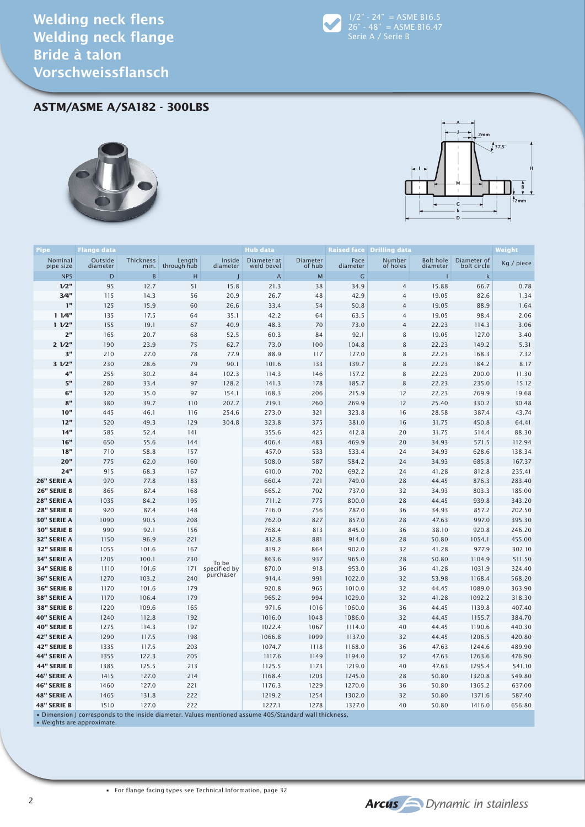

**ASTM/ASME A/SA182 - 300LBS**





| <b>Pipe</b>                | <b>Flange data</b>                                                                                    |                   |                       |                           | <b>Hub data</b>           |                    |                  | <b>Raised face Drilling data</b> |                              |                            | Weight           |
|----------------------------|-------------------------------------------------------------------------------------------------------|-------------------|-----------------------|---------------------------|---------------------------|--------------------|------------------|----------------------------------|------------------------------|----------------------------|------------------|
| Nominal<br>pipe size       | Outside<br>diameter                                                                                   | Thickness<br>min. | Length<br>through hub | Inside<br>diameter        | Diameter at<br>weld bevel | Diameter<br>of hub | Face<br>diameter | Number<br>of holes               | <b>Bolt hole</b><br>diameter | Diameter of<br>bolt circle | Kg / piece       |
| <b>NPS</b>                 | D                                                                                                     | B                 | H                     |                           | A                         | M                  | G                |                                  |                              | k                          |                  |
| 1/2"                       | 95                                                                                                    | 12.7              | 51                    | 15.8                      | 21.3                      | 38                 | 34.9             | $\overline{4}$                   | 15.88                        | 66.7                       | 0.78             |
| 3/4"                       | 115                                                                                                   | 14.3              | 56                    | 20.9                      | 26.7                      | 48                 | 42.9             | $\overline{4}$                   | 19.05                        | 82.6                       | 1.34             |
| 1"                         | 125                                                                                                   | 15.9              | 60                    | 26.6                      | 33.4                      | 54                 | 50.8             | $\overline{4}$                   | 19.05                        | 88.9                       | 1.64             |
| 11/4"                      | 135                                                                                                   | 17.5              | 64                    | 35.1                      | 42.2                      | 64                 | 63.5             | $\overline{4}$                   | 19.05                        | 98.4                       | 2.06             |
| 11/2"                      | 155                                                                                                   | 19.1              | 67                    | 40.9                      | 48.3                      | 70                 | 73.0             | $\overline{4}$                   | 22.23                        | 114.3                      | 3.06             |
| 2"                         | 165                                                                                                   | 20.7              | 68                    | 52.5                      | 60.3                      | 84                 | 92.1             | 8                                | 19.05                        | 127.0                      | 3.40             |
| 21/2"                      | 190                                                                                                   | 23.9              | 75                    | 62.7                      | 73.0                      | 100                | 104.8            | 8                                | 22.23                        | 149.2                      | 5.31             |
| 3"                         | 210                                                                                                   | 27.0              | 78                    | 77.9                      | 88.9                      | 117                | 127.0            | 8                                | 22.23                        | 168.3                      | 7.32             |
| 31/2"                      | 230                                                                                                   | 28.6              | 79                    | 90.1                      | 101.6                     | 133                | 139.7            | 8                                | 22.23                        | 184.2                      | 8.17             |
| 4"                         | 255                                                                                                   | 30.2              | 84                    | 102.3                     | 114.3                     | 146                | 157.2            | 8                                | 22.23                        | 200.0                      | 11.30            |
| 5"                         | 280                                                                                                   | 33.4              | 97                    | 128.2                     | 141.3                     | 178                | 185.7            | $\,8\,$                          | 22.23                        | 235.0                      | 15.12            |
| $6\mathrm{''}$             | 320                                                                                                   | 35.0              | 97                    | 154.1                     | 168.3                     | 206                | 215.9            | 12                               | 22.23                        | 269.9                      | 19.68            |
| 8"                         | 380                                                                                                   | 39.7              | 110                   | 202.7                     | 219.1                     | 260                | 269.9            | 12                               | 25.40                        | 330.2                      | 30.48            |
| 10"                        | 445                                                                                                   | 46.1              | 116                   | 254.6                     | 273.0                     | 321                | 323.8            | 16                               | 28.58                        | 387.4                      | 43.74            |
| 12"                        | 520                                                                                                   | 49.3              | 129                   | 304.8                     | 323.8                     | 375                | 381.0            | 16                               | 31.75                        | 450.8                      | 64.41            |
| 14"                        | 585                                                                                                   | 52.4              | 141                   |                           | 355.6                     | 425                | 412.8            | 20                               | 31.75                        | 514.4                      | 88.30            |
| 16"                        | 650                                                                                                   | 55.6              | 144                   |                           | 406.4                     | 483                | 469.9            | 20                               | 34.93                        | 571.5                      | 112.94           |
| 18"                        | 710                                                                                                   | 58.8              | 157                   |                           | 457.0                     | 533                | 533.4            | 24                               | 34.93                        | 628.6                      | 138.34           |
| 20"                        | 775                                                                                                   | 62.0              | 160                   |                           | 508.0                     | 587                | 584.2            | 24                               | 34.93                        | 685.8                      | 167.37           |
| 24"                        | 915                                                                                                   | 68.3              | 167                   |                           | 610.0                     | 702                | 692.2            | 24                               | 41.28                        | 812.8                      | 235.41           |
| 26" SERIE A                | 970                                                                                                   | 77.8              | 183                   |                           | 660.4                     | 721                | 749.0            | 28                               | 44.45                        | 876.3                      | 283.40           |
| 26" SERIE B                | 865                                                                                                   | 87.4              | 168                   |                           | 665.2                     | 702                | 737.0            | 32                               | 34.93                        | 803.3                      | 185.00           |
| <b>28" SERIE A</b>         | 1035                                                                                                  | 84.2              | 195                   |                           | 711.2                     | 775                | 800.0            | 28                               | 44.45                        | 939.8                      | 343.20           |
| 28" SERIE B                | 920                                                                                                   | 87.4              | 148                   |                           | 716.0                     | 756                | 787.0            | 36                               | 34.93                        | 857.2                      | 202.50           |
| 30" SERIE A                | 1090                                                                                                  | 90.5              | 208                   |                           | 762.0                     | 827                | 857.0            | 28                               | 47.63                        | 997.0                      | 395.30           |
| <b>30" SERIE B</b>         | 990                                                                                                   | 92.1              | 156                   |                           | 768.4                     | 813                | 845.0            | 36                               | 38.10                        | 920.8                      | 246.20           |
| 32" SERIE A                | 1150                                                                                                  | 96.9              | 221                   |                           | 812.8                     | 881                | 914.0            | 28                               | 50.80                        | 1054.1                     | 455.00           |
| 32" SERIE B<br>34" SERIE A | 1055<br>1205                                                                                          | 101.6<br>100.1    | 167<br>230            |                           | 819.2                     | 864<br>937         | 902.0<br>965.0   | 32<br>28                         | 41.28<br>50.80               | 977.9<br>1104.9            | 302.10<br>511.50 |
| 34" SERIE B                | 1110                                                                                                  | 101.6             | 171                   | To be                     | 863.6<br>870.0            | 918                | 953.0            | 36                               | 41.28                        | 1031.9                     | 324.40           |
| 36" SERIE A                | 1270                                                                                                  | 103.2             | 240                   | specified by<br>purchaser | 914.4                     | 991                | 1022.0           | 32                               | 53.98                        | 1168.4                     | 568.20           |
| <b>36" SERIE B</b>         | 1170                                                                                                  | 101.6             | 179                   |                           | 920.8                     | 965                | 1010.0           | 32                               | 44.45                        | 1089.0                     | 363.90           |
| 38" SERIE A                | 1170                                                                                                  | 106.4             | 179                   |                           | 965.2                     | 994                | 1029.0           | 32                               | 41.28                        | 1092.2                     | 318.30           |
| 38" SERIE B                | 1220                                                                                                  | 109.6             | 165                   |                           | 971.6                     | 1016               | 1060.0           | 36                               | 44.45                        | 1139.8                     | 407.40           |
| 40" SERIE A                | 1240                                                                                                  | 112.8             | 192                   |                           | 1016.0                    | 1048               | 1086.0           | 32                               | 44.45                        | 1155.7                     | 384.70           |
| 40" SERIE B                | 1275                                                                                                  | 114.3             | 197                   |                           | 1022.4                    | 1067               | 1114.0           | 40                               | 44.45                        | 1190.6                     | 440.30           |
| 42" SERIE A                | 1290                                                                                                  | 117.5             | 198                   |                           | 1066.8                    | 1099               | 1137.0           | 32                               | 44.45                        | 1206.5                     | 420.80           |
| 42" SERIE B                | 1335                                                                                                  | 117.5             | 203                   |                           | 1074.7                    | 1118               | 1168.0           | 36                               | 47.63                        | 1244.6                     | 489.90           |
| 44" SERIE A                | 1355                                                                                                  | 122.3             | 205                   |                           | 1117.6                    | 1149               | 1194.0           | 32                               | 47.63                        | 1263.6                     | 476.90           |
| <b>44" SERIE B</b>         | 1385                                                                                                  | 125.5             | 213                   |                           | 1125.5                    | 1173               | 1219.0           | 40                               | 47.63                        | 1295.4                     | 541.10           |
| <b>46" SERIE A</b>         | 1415                                                                                                  | 127.0             | 214                   |                           | 1168.4                    | 1203               | 1245.0           | 28                               | 50.80                        | 1320.8                     | 549.80           |
| <b>46" SERIE B</b>         | 1460                                                                                                  | 127.0             | 221                   |                           | 1176.3                    | 1229               | 1270.0           | 36                               | 50.80                        | 1365.2                     | 637.00           |
| <b>48" SERIE A</b>         | 1465                                                                                                  | 131.8             | 222                   |                           | 1219.2                    | 1254               | 1302.0           | 32                               | 50.80                        | 1371.6                     | 587.40           |
| <b>48" SERIE B</b>         | 1510                                                                                                  | 127.0             | 222                   |                           | 1227.1                    | 1278               | 1327.0           | 40                               | 50.80                        | 1416.0                     | 656.80           |
|                            | . Dimension I corresponds to the inside diameter. Values mentioned assume 40S/Standard wall thickness |                   |                       |                           |                           |                    |                  |                                  |                              |                            |                  |

• Weights are approximate.

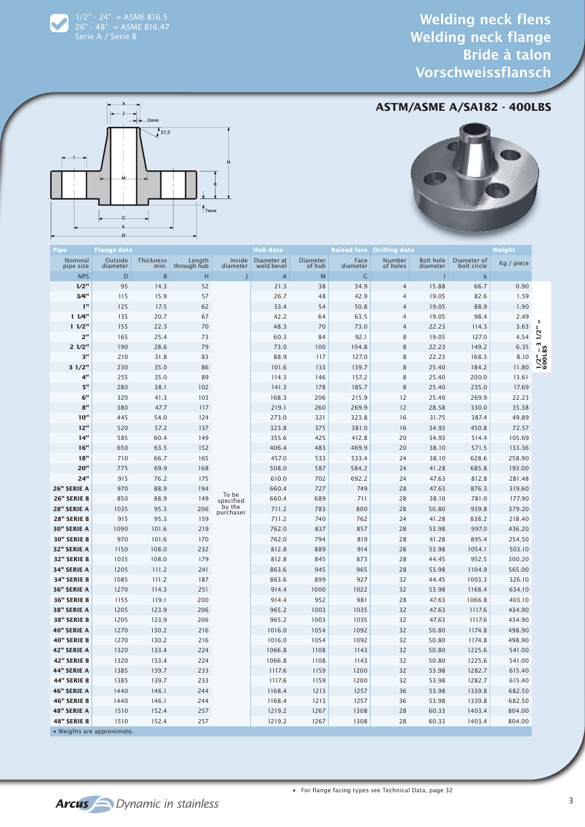$1/2" - 24" = A SME B16.5$ 26" - 48" = ASME B16.47

## **ASTM/ASME A/SA182 - 400LBS**





| Pipe                 | Flange data                |                   |                       |                              | Hub data                           |                    |                  | <b>Raised face Drilling data</b> |                       |                            | Weight         |                         |  |
|----------------------|----------------------------|-------------------|-----------------------|------------------------------|------------------------------------|--------------------|------------------|----------------------------------|-----------------------|----------------------------|----------------|-------------------------|--|
| Nominal<br>pipe size | Outside<br>diameter        | Thickness<br>min. | Length<br>through hub | diameter                     | Inside   Diameter at<br>weld bevel | Diameter<br>of hub | Face<br>diameter | Number<br>of holes               | Bolt hole<br>diameter | Diameter of<br>bolt circle | Kg / piece     |                         |  |
| <b>NPS</b>           | D                          | $\sf{B}$          | н                     | I                            | $\mathsf{A}$                       | M                  | G                |                                  |                       | k                          |                |                         |  |
| 1/2"                 | 95                         | 14.3              | 52                    |                              | 21.3                               | 38                 | 34.9             | $\overline{4}$                   | 15.88                 | 66.7                       | 0.90           |                         |  |
| 3/4"                 | 115                        | 15.9              | 57                    |                              | 26.7                               | 48                 | 42.9             | $\overline{4}$                   | 19.05                 | 82.6                       | 1.59           |                         |  |
| 1"                   | 125                        | 17.5              | 62                    |                              | 33.4                               | 54                 | 50.8             | 4                                | 19.05                 | 88.9                       | 1.90           |                         |  |
| 11/4"                | 135                        | 20.7              | 67                    |                              | 42.2                               | 64                 | 63.5             | 4                                | 19.05                 | 98.4                       | 2.49           |                         |  |
| 11/2"                | 155                        | 22.3              | 70                    |                              | 48.3                               | 70                 | 73.0             | $\overline{4}$                   | 22.23                 | 114.3                      | 3.63           | 1/2"                    |  |
| 2"                   | 165                        | 25.4              | 73                    |                              | 60.3                               | 84                 | 92.1             | 8                                | 19.05                 | 127.0                      | 4.54           |                         |  |
| 21/2"                | 190                        | 28.6              | 79                    |                              | 73.0                               | 100                | 104.8            | $\,$ 8 $\,$                      | 22.23                 | 149.2                      | 6.35           |                         |  |
| 3"                   | 210                        | 31.8              | 83                    |                              | 88.9                               | 117                | 127.0            | 8                                | 22.23                 | 168.3                      | 8.10           | $\frac{1}{2}$<br>600LBS |  |
| 31/2"                | 230                        | 35.0              | 86                    |                              | 101.6                              | 133                | 139.7            | 8                                | 25.40                 | 184.2                      | 11.80          |                         |  |
| 4"                   | 255                        | 35.0              | 89                    |                              | 114.3                              | 146                | 157.2            | 8                                | 25.40                 | 200.0                      | 13.61          |                         |  |
| 5"                   | 280                        | 38.1              | 102                   |                              | 141.3                              | 178                | 185.7            | 8                                | 25.40                 | 235.0                      | 17.69          |                         |  |
| 6"<br>8"             | 320                        | 41.3<br>47.7      | 103<br>117            |                              | 168.3<br>219.1                     | 206<br>260         | 215.9            | 12<br>12                         | 25.40                 | 269.9<br>330.0             | 22.23<br>35.38 |                         |  |
| 10"                  | 380                        |                   | 124                   |                              | 273.0                              |                    | 269.9            | 16                               | 28.58<br>31.75        |                            |                |                         |  |
| 12"                  | 445<br>520                 | 54.0<br>57.2      | 137                   |                              | 323.8                              | 321<br>375         | 323.8<br>381.0   | 16                               | 34.93                 | 387.4<br>450.8             | 49.89<br>72.57 |                         |  |
| 14"                  | 585                        | 60.4              | 149                   |                              | 355.6                              | 425                | 412.8            | 20                               | 34.93                 | 514.4                      | 105.69         |                         |  |
| 16"                  | 650                        | 63.5              | 152                   |                              | 406.4                              | 483                | 469.9            | 20                               | 38.10                 | 571.5                      | 133.36         |                         |  |
| 18"                  | 710                        | 66.7              | 165                   |                              | 457.0                              | 533                | 533.4            | 24                               | 38.10                 | 628.6                      | 258.90         |                         |  |
| 20"                  | 775                        | 69.9              | 168                   |                              | 508.0                              | 587                | 584.2            | 24                               | 41.28                 | 685.8                      | 193.00         |                         |  |
| 24"                  | 915                        | 76.2              | 175                   |                              | 610.0                              | 702                | 692.2            | 24                               | 47.63                 | 812.8                      | 281.48         |                         |  |
| 26" SERIE A          | 970                        | 88.9              | 194                   |                              | 660.4                              | 727                | 749              | 28                               | 47.63                 | 876.3                      | 319.60         |                         |  |
| 26" SERIE B          | 850                        | 88.9              | 149                   | To be<br>specified<br>by the | 660.4                              | 689                | 711              | 28                               | 38.10                 | 781.0                      | 177.90         |                         |  |
| <b>28" SERIE A</b>   | 1035                       | 95.3              | 206                   |                              | 711.2                              | 783                | 800              | 28                               | 50.80                 | 939.8                      | 379.20         |                         |  |
| 28" SERIE B          | 915                        | 95.3              | 159                   | purchaser                    | 711.2                              | 740                | 762              | 24                               | 41.28                 | 838.2                      | 218.40         |                         |  |
| <b>30" SERIE A</b>   | 1090                       | 101.6             | 219                   |                              | 762.0                              | 837                | 857              | 28                               | 53.98                 | 997.0                      | 436.20         |                         |  |
| <b>30" SERIE B</b>   | 970                        | 101.6             | 170                   |                              | 762.0                              | 794                | 819              | 28                               | 41.28                 | 895.4                      | 254.50         |                         |  |
| 32" SERIE A          | 1150                       | 108.0             | 232                   |                              | 812.8                              | 889                | 914              | 28                               | 53.98                 | 1054.1                     | 503.10         |                         |  |
| 32" SERIE B          | 1035                       | 108.0             | 179                   |                              | 812.8                              | 845                | 873              | 28                               | 44.45                 | 952.5                      | 300.20         |                         |  |
| <b>34" SERIE A</b>   | 1205                       | 111.2             | 241                   |                              | 863.6                              | 945                | 965              | 28                               | 53.98                 | 1104.9                     | 565.00         |                         |  |
| 34" SERIE B          | 1085                       | 111.2             | 187                   |                              | 863.6                              | 899                | 927              | 32                               | 44.45                 | 1003.3                     | 326.10         |                         |  |
| <b>36" SERIE A</b>   | 1270                       | 114.3             | 251                   |                              | 914.4                              | 1000               | 1022             | 32                               | 53.98                 | 1168.4                     | 634.10         |                         |  |
| <b>36" SERIE B</b>   | 1155                       | 119.1             | 200                   |                              | 914.4                              | 952                | 981              | 28                               | 47.63                 | 1066.8                     | 403.10         |                         |  |
| <b>38" SERIE A</b>   | 1205                       | 123.9             | 206                   |                              | 965.2                              | 1003               | 1035             | 32                               | 47.63                 | 1117.6                     | 434.90         |                         |  |
| <b>38" SERIE B</b>   | 1205                       | 123.9             | 206                   |                              | 965.2                              | 1003               | 1035             | 32                               | 47.63                 | 1117.6                     | 434.90         |                         |  |
| <b>40" SERIE A</b>   | 1270                       | 130.2             | 216                   |                              | 1016.0                             | 1054               | 1092             | 32                               | 50.80                 | 1174.8                     | 498.90         |                         |  |
| <b>40" SERIE B</b>   | 1270                       | 130.2             | 216                   |                              | 1016.0                             | 1054               | 1092             | 32                               | 50.80                 | 1174.8                     | 498.90         |                         |  |
| 42" SERIE A          | 1320                       | 133.4             | 224                   |                              | 1066.8                             | 1108               | 1143             | 32                               | 50.80                 | 1225.6                     | 541.00         |                         |  |
| 42" SERIE B          | 1320                       | 133.4             | 224                   |                              | 1066.8                             | 1108               | 1143             | 32                               | 50.80                 | 1225.6                     | 541.00         |                         |  |
| 44" SERIE A          | 1385                       | 139.7             | 233                   |                              | 1117.6                             | 1159               | 1200             | 32                               | 53.98                 | 1282.7                     | 615.40         |                         |  |
| 44" SERIE B          | 1385                       | 139.7             | 233                   |                              | 1117.6                             | 1159               | 1200             | 32                               | 53.98                 | 1282.7                     | 615.40         |                         |  |
| 46" SERIE A          | 1440                       | 146.1             | 244                   |                              | 1168.4                             | 1213               | 1257             | 36                               | 53.98                 | 1339.8                     | 682.50         |                         |  |
| 46" SERIE B          | 1440                       | 146.1             | 244                   |                              | 1168.4                             | 1213               | 1257             | 36                               | 53.98                 | 1339.8                     | 682.50         |                         |  |
| <b>48" SERIE A</b>   | 1510                       | 152.4             | 257                   |                              | 1219.2                             | 1267               | 1308             | 28                               | 60.33                 | 1403.4                     | 804.00         |                         |  |
| <b>48" SERIE B</b>   | 1510                       | 152.4             | 257                   |                              | 1219.2                             | 1267               | 1308             | 28                               | 60.33                 | 1403.4                     | 804.00         |                         |  |
|                      | · Weights are approximate. |                   |                       |                              |                                    |                    |                  |                                  |                       |                            |                |                         |  |

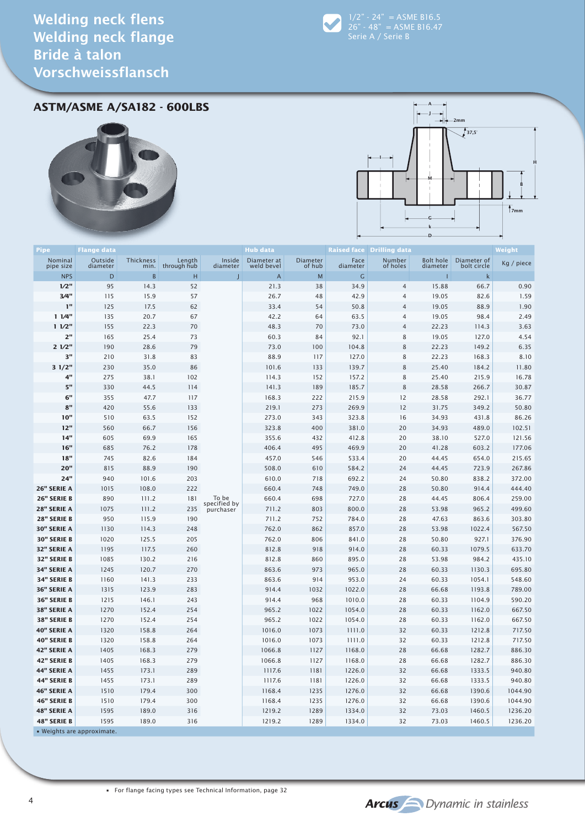

 $1/2" - 24" = A SME B16.5$ 26" - 48" = ASME B16.47

**ASTM/ASME A/SA182 - 600LBS**





| Pipe                       | <b>Flange data</b> |                  |                  |                       | <b>Hub data</b>              |             |                         | <b>Raised face Drilling data</b> |                  |                            | Weight           |
|----------------------------|--------------------|------------------|------------------|-----------------------|------------------------------|-------------|-------------------------|----------------------------------|------------------|----------------------------|------------------|
| Nominal                    | Outside            | <b>Thickness</b> | Length           | Inside                | Diameter at                  | Diameter    | Face                    | Number                           | <b>Bolt hole</b> | Diameter of                | Kg / piece       |
| pipe size<br><b>NPS</b>    | diameter<br>D      | min.<br>B        | through hub<br>Н | diameter              | weld bevel<br>$\overline{A}$ | of hub<br>M | diameter<br>$\mathsf C$ | of holes                         | diameter<br>п    | bolt circle<br>$\mathsf k$ |                  |
| 1/2"                       | 95                 | 14.3             | 52               |                       | 21.3                         | 38          | 34.9                    | $\overline{4}$                   | 15.88            | 66.7                       | 0.90             |
| 3/4"                       | 115                | 15.9             | 57               |                       | 26.7                         | 48          | 42.9                    | $\overline{4}$                   | 19.05            | 82.6                       | 1.59             |
| ı"                         | 125                | 17.5             | 62               |                       | 33.4                         | 54          | 50.8                    | $\overline{4}$                   | 19.05            | 88.9                       | 1.90             |
| 11/4"                      | 135                | 20.7             | 67               |                       | 42.2                         | 64          | 63.5                    | $\overline{4}$                   | 19.05            | 98.4                       | 2.49             |
| 11/2"                      | 155                | 22.3             | 70               |                       | 48.3                         | 70          | 73.0                    | $\overline{4}$                   | 22.23            | 114.3                      | 3.63             |
| 2"                         | 165                | 25.4             | 73               |                       | 60.3                         | 84          | 92.1                    | 8                                | 19.05            | 127.0                      | 4.54             |
| 21/2"                      | 190                | 28.6             | 79               |                       | 73.0                         | 100         | 104.8                   | 8                                | 22.23            | 149.2                      | 6.35             |
| 3"                         | 210                | 31.8             | 83               |                       | 88.9                         | 117         | 127.0                   | 8                                | 22.23            | 168.3                      | 8.10             |
| 31/2"                      | 230                | 35.0             | 86               |                       | 101.6                        | 133         | 139.7                   | 8                                | 25.40            | 184.2                      | 11.80            |
| 4"                         | 275                | 38.1             | 102              |                       | 114.3                        | 152         | 157.2                   | 8                                | 25.40            | 215.9                      | 16.78            |
| 5"                         | 330                | 44.5             | 114              |                       | 141.3                        | 189         | 185.7                   | 8                                | 28.58            | 266.7                      | 30.87            |
| $\mathbf{6}^{\mathsf{u}}$  | 355                | 47.7             | 117              |                       | 168.3                        | 222         | 215.9                   | 12                               | 28.58            | 292.1                      | 36.77            |
| 8"                         | 420                | 55.6             | 133              |                       | 219.1                        | 273         | 269.9                   | 12                               | 31.75            | 349.2                      | 50.80            |
| 10"                        | 510                | 63.5             | 152              |                       | 273.0                        | 343         | 323.8                   | 16                               | 34.93            | 431.8                      | 86.26            |
| 12"                        | 560                | 66.7             | 156              |                       | 323.8                        | 400         | 381.0                   | 20                               | 34.93            | 489.0                      | 102.51           |
| 14"                        | 605                | 69.9             | 165              |                       | 355.6                        | 432         | 412.8                   | 20                               | 38.10            | 527.0                      | 121.56           |
| 16"                        | 685                | 76.2             | 178              |                       | 406.4                        | 495         | 469.9                   | 20                               | 41.28            | 603.2                      | 177.06           |
| 18"                        | 745                | 82.6             | 184              |                       | 457.0                        | 546         | 533.4                   | 20                               | 44.45            | 654.0                      | 215.65           |
| 20"                        | 815                | 88.9             | 190              |                       | 508.0                        | 610         | 584.2                   | 24                               | 44.45            | 723.9                      | 267.86           |
| 24"                        | 940                | 101.6            | 203              |                       | 610.0                        | 718         | 692.2                   | 24                               | 50.80            | 838.2                      | 372.00           |
| 26" SERIE A                | 1015               | 108.0            | 222              |                       | 660.4                        | 748         | 749.0                   | 28                               | 50.80            | 914.4                      | 444.40           |
| 26" SERIE B                | 890                | 111.2            | 181              | To be<br>specified by | 660.4                        | 698         | 727.0                   | 28                               | 44.45            | 806.4                      | 259.00           |
| 28" SERIE A                | 1075               | 111.2            | 235              | purchaser             | 711.2                        | 803         | 800.0                   | 28                               | 53.98            | 965.2                      | 499.60           |
| 28" SERIE B<br>30" SERIE A | 950<br>1130        | 115.9<br>114.3   | 190<br>248       |                       | 711.2<br>762.0               | 752<br>862  | 784.0<br>857.0          | 28<br>28                         | 47.63<br>53.98   | 863.6<br>1022.4            | 303.80<br>567.50 |
| <b>30" SERIE B</b>         | 1020               | 125.5            | 205              |                       | 762.0                        | 806         | 841.0                   | 28                               | 50.80            | 927.1                      | 376.90           |
| 32" SERIE A                | 1195               | 117.5            | 260              |                       | 812.8                        | 918         | 914.0                   | 28                               | 60.33            | 1079.5                     | 633.70           |
| 32" SERIE B                | 1085               | 130.2            | 216              |                       | 812.8                        | 860         | 895.0                   | 28                               | 53.98            | 984.2                      | 435.10           |
| 34" SERIE A                | 1245               | 120.7            | 270              |                       | 863.6                        | 973         | 965.0                   | 28                               | 60.33            | 1130.3                     | 695.80           |
| 34" SERIE B                | 1160               | 141.3            | 233              |                       | 863.6                        | 914         | 953.0                   | 24                               | 60.33            | 1054.1                     | 548.60           |
| 36" SERIE A                | 1315               | 123.9            | 283              |                       | 914.4                        | 1032        | 1022.0                  | 28                               | 66.68            | 1193.8                     | 789.00           |
| 36" SERIE B                | 1215               | 146.1            | 243              |                       | 914.4                        | 968         | 1010.0                  | 28                               | 60.33            | 1104.9                     | 590.20           |
| 38" SERIE A                | 1270               | 152.4            | 254              |                       | 965.2                        | 1022        | 1054.0                  | 28                               | 60.33            | 1162.0                     | 667.50           |
| 38" SERIE B                | 1270               | 152.4            | 254              |                       | 965.2                        | 1022        | 1054.0                  | 28                               | 60.33            | 1162.0                     | 667.50           |
| 40" SERIE A                | 1320               | 158.8            | 264              |                       | 1016.0                       | 1073        | 1111.0                  | 32                               | 60.33            | 1212.8                     | 717.50           |
| <b>40" SERIE B</b>         | 1320               | 158.8            | 264              |                       | 1016.0                       | 1073        | 1111.0                  | 32                               | 60.33            | 1212.8                     | 717.50           |
| 42" SERIE A                | 1405               | 168.3            | 279              |                       | 1066.8                       | 1127        | 1168.0                  | 28                               | 66.68            | 1282.7                     | 886.30           |
| 42" SERIE B                | 1405               | 168.3            | 279              |                       | 1066.8                       | 1127        | 1168.0                  | 28                               | 66.68            | 1282.7                     | 886.30           |
| 44" SERIE A                | 1455               | 173.1            | 289              |                       | 1117.6                       | 1181        | 1226.0                  | 32                               | 66.68            | 1333.5                     | 940.80           |
| 44" SERIE B                | 1455               | 173.1            | 289              |                       | 1117.6                       | 1181        | 1226.0                  | 32                               | 66.68            | 1333.5                     | 940.80           |
| 46" SERIE A                | 1510               | 179.4            | 300              |                       | 1168.4                       | 1235        | 1276.0                  | 32                               | 66.68            | 1390.6                     | 1044.90          |
| <b>46" SERIE B</b>         | 1510               | 179.4            | 300              |                       | 1168.4                       | 1235        | 1276.0                  | 32                               | 66.68            | 1390.6                     | 1044.90          |
| 48" SERIE A                | 1595               | 189.0            | 316              |                       | 1219.2                       | 1289        | 1334.0                  | 32                               | 73.03            | 1460.5                     | 1236.20          |
| 48" SERIE B                | 1595               | 189.0            | 316              |                       | 1219.2                       | 1289        | 1334.0                  | 32                               | 73.03            | 1460.5                     | 1236.20          |
| . Weights are approximate. |                    |                  |                  |                       |                              |             |                         |                                  |                  |                            |                  |

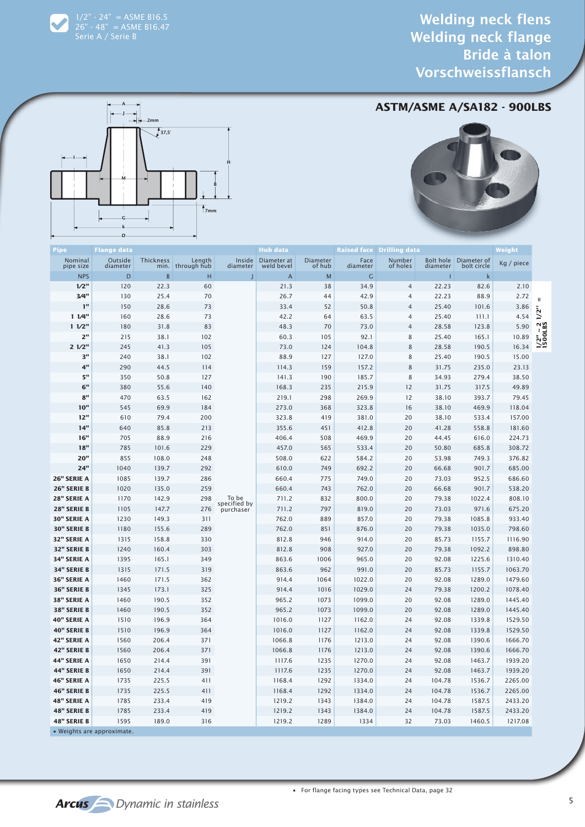$1/2" - 24" = A SME B16.5$ 26" - 48" = ASME B16.47 Serie A / Serie B

## **ASTM/ASME A/SA182 - 900LBS**





| Pipe                 | <b>Flange data</b>         |                  |                            |                                    | Hub data                  |                    |                  | <b>Raised face Drilling data</b> |          |                                      | Weight     |                          |
|----------------------|----------------------------|------------------|----------------------------|------------------------------------|---------------------------|--------------------|------------------|----------------------------------|----------|--------------------------------------|------------|--------------------------|
| Nominal<br>pipe size | Outside<br>diameter        | <b>Thickness</b> | Length<br>min. through hub | Inside<br>diameter                 | Diameter at<br>weld bevel | Diameter<br>of hub | Face<br>diameter | Number<br>of holes               | diameter | Bolt hole Diameter of<br>bolt circle | Kg / piece |                          |
| <b>NPS</b>           | D                          | B                | н                          |                                    | A                         | M                  | G                |                                  |          | k                                    |            |                          |
| 1/2"                 | 120                        | 22.3             | 60                         |                                    | 21.3                      | 38                 | 34.9             | $\overline{4}$                   | 22.23    | 82.6                                 | 2.10       |                          |
| 3/4"                 | 130                        | 25.4             | 70                         |                                    | 26.7                      | 44                 | 42.9             | $\overline{4}$                   | 22.23    | 88.9                                 | 2.72       |                          |
| 1 <sup>n</sup>       | 150                        | 28.6             | 73                         |                                    | 33.4                      | 52                 | 50.8             | 4                                | 25.40    | 101.6                                | 3.86       | Ш                        |
| 11/4"                | 160                        | 28.6             | 73                         |                                    | 42.2                      | 64                 | 63.5             | 4                                | 25.40    | 111.1                                | 4.54       |                          |
| 11/2"                | 180                        | 31.8             | 83                         |                                    | 48.3                      | 70                 | 73.0             | 4                                | 28.58    | 123.8                                | 5.90       |                          |
| 2 <sup>n</sup>       | 215                        | 38.1             | 102                        |                                    | 60.3                      | 105                | 92.1             | 8                                | 25.40    | 165.1                                | 10.89      | $\frac{1}{2}$<br>1500LBS |
| 21/2"                | 245                        | 41.3             | 105                        |                                    | 73.0                      | 124                | 104.8            | 8                                | 28.58    | 190.5                                | 16.34      |                          |
| 3"                   | 240                        | 38.1             | 102                        |                                    | 88.9                      | 127                | 127.0            | 8                                | 25.40    | 190.5                                | 15.00      |                          |
| 4"                   | 290                        | 44.5             | 114                        |                                    | 114.3                     | 159                | 157.2            | 8                                | 31.75    | 235.0                                | 23.13      |                          |
| 5"                   | 350                        | 50.8             | 127                        |                                    | 141.3                     | 190                | 185.7            | 8                                | 34.93    | 279.4                                | 38.50      |                          |
| 6"                   | 380                        | 55.6             | 140                        |                                    | 168.3                     | 235                | 215.9            | 12                               | 31.75    | 317.5                                | 49.89      |                          |
| 8"                   | 470                        | 63.5             | 162                        |                                    | 219.1                     | 298                | 269.9            | 12                               | 38.10    | 393.7                                | 79.45      |                          |
| 10"                  | 545                        | 69.9             | 184                        |                                    | 273.0                     | 368                | 323.8            | 16                               | 38.10    | 469.9                                | 118.04     |                          |
| 12"                  | 610                        | 79.4             | 200                        |                                    | 323.8                     | 419                | 381.0            | 20                               | 38.10    | 533.4                                | 157.00     |                          |
| 14"                  | 640                        | 85.8             | 213                        |                                    | 355.6                     | 451                | 412.8            | 20                               | 41.28    | 558.8                                | 181.60     |                          |
| 16"                  | 705                        | 88.9             | 216                        |                                    | 406.4                     | 508                | 469.9            | 20                               | 44.45    | 616.0                                | 224.73     |                          |
| 18"                  | 785                        | 101.6            | 229                        |                                    | 457.0                     | 565                | 533.4            | 20                               | 50.80    | 685.8                                | 308.72     |                          |
| 20"                  | 855                        | 108.0            | 248                        |                                    | 508.0                     | 622                | 584.2            | 20                               | 53.98    | 749.3                                | 376.82     |                          |
| 24"                  | 1040                       | 139.7            | 292                        | To be<br>specified by<br>purchaser | 610.0                     | 749                | 692.2            | 20                               | 66.68    | 901.7                                | 685.00     |                          |
| 26" SERIE A          | 1085                       | 139.7            | 286                        |                                    | 660.4                     | 775                | 749.0            | 20                               | 73.03    | 952.5                                | 686.60     |                          |
| 26" SERIE B          | 1020                       | 135.0            | 259                        |                                    | 660.4                     | 743                | 762.0            | 20                               | 66.68    | 901.7                                | 538.20     |                          |
| 28" SERIE A          | 1170                       | 142.9            | 298                        |                                    | 711.2                     | 832                | 800.0            | 20                               | 79.38    | 1022.4                               | 808.10     |                          |
| 28" SERIE B          | 1105                       | 147.7            | 276                        |                                    | 711.2                     | 797                | 819.0            | 20                               | 73.03    | 971.6                                | 675.20     |                          |
| 30" SERIE A          | 1230                       | 149.3            | 311                        |                                    | 762.0                     | 889                | 857.0            | 20                               | 79.38    | 1085.8                               | 933.40     |                          |
| <b>30" SERIE B</b>   | 1180                       | 155.6            | 289                        |                                    | 762.0                     | 851                | 876.0            | 20                               | 79.38    | 1035.0                               | 798.60     |                          |
| 32" SERIE A          | 1315                       | 158.8            | 330                        |                                    | 812.8                     | 946                | 914.0            | 20                               | 85.73    | 1155.7                               | 1116.90    |                          |
| 32" SERIE B          | 1240                       | 160.4            | 303                        |                                    | 812.8                     | 908                | 927.0            | 20                               | 79.38    | 1092.2                               | 898.80     |                          |
| 34" SERIE A          | 1395                       | 165.1            | 349                        |                                    | 863.6                     | 1006               | 965.0            | 20                               | 92.08    | 1225.6                               | 1310.40    |                          |
| 34" SERIE B          | 1315                       | 171.5            | 319                        |                                    | 863.6                     | 962                | 991.0            | 20                               | 85.73    | 1155.7                               | 1063.70    |                          |
| 36" SERIE A          | 1460                       | 171.5            | 362                        |                                    | 914.4                     | 1064               | 1022.0           | 20                               | 92.08    | 1289.0                               | 1479.60    |                          |
| 36" SERIE B          | 1345                       | 173.1            | 325                        |                                    | 914.4                     | 1016               | 1029.0           | 24                               | 79.38    | 1200.2                               | 1078.40    |                          |
| 38" SERIE A          | 1460                       | 190.5            | 352                        |                                    | 965.2                     | 1073               | 1099.0           | 20                               | 92.08    | 1289.0                               | 1445.40    |                          |
| 38" SERIE B          | 1460                       | 190.5            | 352                        |                                    | 965.2                     | 1073               | 1099.0           | 20                               | 92.08    | 1289.0                               | 1445.40    |                          |
| 40" SERIE A          | 1510                       | 196.9            | 364                        |                                    | 1016.0                    | 1127               | 1162.0           | 24                               | 92.08    | 1339.8                               | 1529.50    |                          |
| 40" SERIE B          | 1510                       | 196.9            | 364                        |                                    | 1016.0                    | 1127               | 1162.0           | 24                               | 92.08    | 1339.8                               | 1529.50    |                          |
| 42" SERIE A          | 1560                       | 206.4            | 371                        |                                    | 1066.8                    | 1176               | 1213.0           | 24                               | 92.08    | 1390.6                               | 1666.70    |                          |
| 42" SERIE B          | 1560                       | 206.4            | 371                        |                                    | 1066.8                    | 1176               | 1213.0           | 24                               | 92.08    | 1390.6                               | 1666.70    |                          |
| 44" SERIE A          | 1650                       | 214.4            | 391                        |                                    | 1117.6                    | 1235               | 1270.0           | 24                               | 92.08    | 1463.7                               | 1939.20    |                          |
| 44" SERIE B          | 1650                       | 214.4            | 391                        |                                    | 1117.6                    | 1235               | 1270.0           | 24                               | 92.08    | 1463.7                               | 1939.20    |                          |
| 46" SERIE A          | 1735                       | 225.5            | 411                        |                                    | 1168.4                    | 1292               | 1334.0           | 24                               | 104.78   | 1536.7                               | 2265.00    |                          |
| 46" SERIE B          | 1735                       | 225.5            | 411                        |                                    | 1168.4                    | 1292               | 1334.0           | 24                               | 104.78   | 1536.7                               | 2265.00    |                          |
| 48" SERIE A          | 1785                       | 233.4            | 419                        |                                    | 1219.2                    | 1343               | 1384.0           | 24                               | 104.78   | 1587.5                               | 2433.20    |                          |
| 48" SERIE B          | 1785                       | 233.4            | 419                        |                                    | 1219.2                    | 1343               | 1384.0           | 24                               | 104.78   | 1587.5                               | 2433.20    |                          |
| <b>48" SERIE B</b>   | 1595                       | 189.0            | 316                        |                                    | 1219.2                    | 1289               | 1334             | 32                               | 73.03    | 1460.5                               | 1217.08    |                          |
|                      | . Weights are approximate. |                  |                            |                                    |                           |                    |                  |                                  |          |                                      |            |                          |